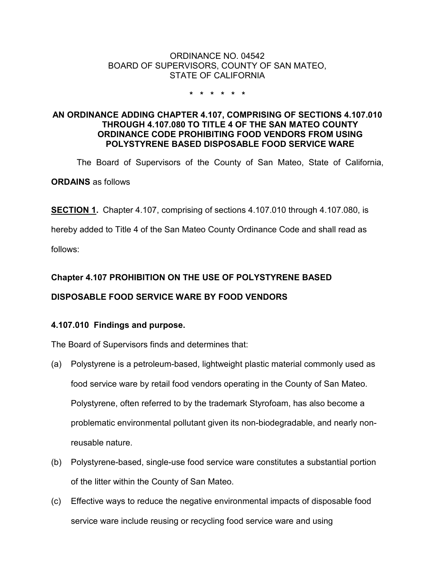### ORDINANCE NO. 04542 BOARD OF SUPERVISORS, COUNTY OF SAN MATEO, STATE OF CALIFORNIA

#### **\* \* \* \* \* \***

## **AN ORDINANCE ADDING CHAPTER 4.107, COMPRISING OF SECTIONS 4.107.010 THROUGH 4.107.080 TO TITLE 4 OF THE SAN MATEO COUNTY ORDINANCE CODE PROHIBITING FOOD VENDORS FROM USING POLYSTYRENE BASED DISPOSABLE FOOD SERVICE WARE**

The Board of Supervisors of the County of San Mateo, State of California,

**ORDAINS** as follows

**SECTION 1.** Chapter 4.107, comprising of sections 4.107.010 through 4.107.080, is

hereby added to Title 4 of the San Mateo County Ordinance Code and shall read as

follows:

# **Chapter 4.107 PROHIBITION ON THE USE OF POLYSTYRENE BASED**

# **DISPOSABLE FOOD SERVICE WARE BY FOOD VENDORS**

# **4.107.010 Findings and purpose.**

The Board of Supervisors finds and determines that:

- (a) Polystyrene is a petroleum-based, lightweight plastic material commonly used as food service ware by retail food vendors operating in the County of San Mateo. Polystyrene, often referred to by the trademark Styrofoam, has also become a problematic environmental pollutant given its non-biodegradable, and nearly nonreusable nature.
- (b) Polystyrene-based, single-use food service ware constitutes a substantial portion of the litter within the County of San Mateo.
- (c) Effective ways to reduce the negative environmental impacts of disposable food service ware include reusing or recycling food service ware and using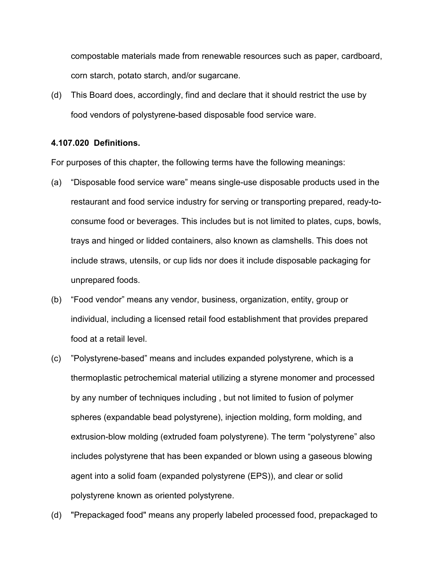compostable materials made from renewable resources such as paper, cardboard, corn starch, potato starch, and/or sugarcane.

(d) This Board does, accordingly, find and declare that it should restrict the use by food vendors of polystyrene-based disposable food service ware.

#### **4.107.020 Definitions.**

For purposes of this chapter, the following terms have the following meanings:

- (a) "Disposable food service ware" means single-use disposable products used in the restaurant and food service industry for serving or transporting prepared, ready-toconsume food or beverages. This includes but is not limited to plates, cups, bowls, trays and hinged or lidded containers, also known as clamshells. This does not include straws, utensils, or cup lids nor does it include disposable packaging for unprepared foods.
- (b) "Food vendor" means any vendor, business, organization, entity, group or individual, including a licensed retail food establishment that provides prepared food at a retail level.
- (c) "Polystyrene-based" means and includes expanded polystyrene, which is a thermoplastic petrochemical material utilizing a styrene monomer and processed by any number of techniques including , but not limited to fusion of polymer spheres (expandable bead polystyrene), injection molding, form molding, and extrusion-blow molding (extruded foam polystyrene). The term "polystyrene" also includes polystyrene that has been expanded or blown using a gaseous blowing agent into a solid foam (expanded polystyrene (EPS)), and clear or solid polystyrene known as oriented polystyrene.
- (d) "Prepackaged food" means any properly labeled processed food, prepackaged to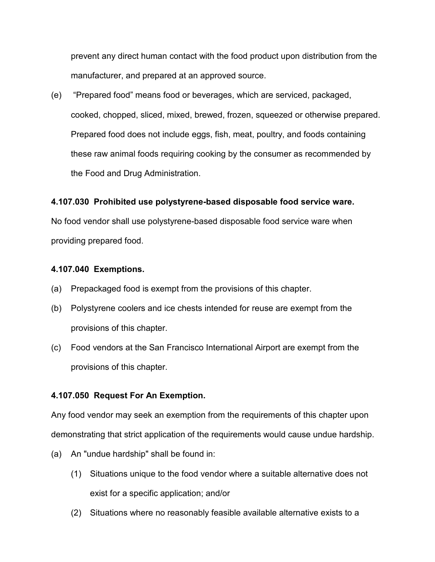prevent any direct human contact with the food product upon distribution from the manufacturer, and prepared at an approved source.

(e) "Prepared food" means food or beverages, which are serviced, packaged, cooked, chopped, sliced, mixed, brewed, frozen, squeezed or otherwise prepared. Prepared food does not include eggs, fish, meat, poultry, and foods containing these raw animal foods requiring cooking by the consumer as recommended by the Food and Drug Administration.

# **4.107.030 Prohibited use polystyrene-based disposable food service ware.**

No food vendor shall use polystyrene-based disposable food service ware when providing prepared food.

## **4.107.040 Exemptions.**

- (a) Prepackaged food is exempt from the provisions of this chapter.
- (b) Polystyrene coolers and ice chests intended for reuse are exempt from the provisions of this chapter.
- (c) Food vendors at the San Francisco International Airport are exempt from the provisions of this chapter.

## **4.107.050 Request For An Exemption.**

Any food vendor may seek an exemption from the requirements of this chapter upon demonstrating that strict application of the requirements would cause undue hardship.

- (a) An "undue hardship" shall be found in:
	- (1) Situations unique to the food vendor where a suitable alternative does not exist for a specific application; and/or
	- (2) Situations where no reasonably feasible available alternative exists to a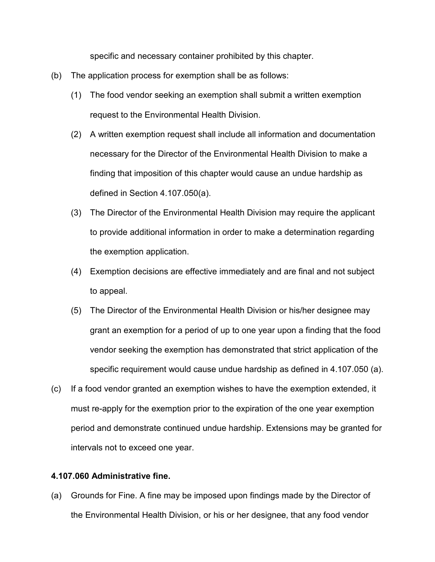specific and necessary container prohibited by this chapter.

- (b) The application process for exemption shall be as follows:
	- (1) The food vendor seeking an exemption shall submit a written exemption request to the Environmental Health Division.
	- (2) A written exemption request shall include all information and documentation necessary for the Director of the Environmental Health Division to make a finding that imposition of this chapter would cause an undue hardship as defined in Section 4.107.050(a).
	- (3) The Director of the Environmental Health Division may require the applicant to provide additional information in order to make a determination regarding the exemption application.
	- (4) Exemption decisions are effective immediately and are final and not subject to appeal.
	- (5) The Director of the Environmental Health Division or his/her designee may grant an exemption for a period of up to one year upon a finding that the food vendor seeking the exemption has demonstrated that strict application of the specific requirement would cause undue hardship as defined in 4.107.050 (a).
- (c) If a food vendor granted an exemption wishes to have the exemption extended, it must re-apply for the exemption prior to the expiration of the one year exemption period and demonstrate continued undue hardship. Extensions may be granted for intervals not to exceed one year.

#### **4.107.060 Administrative fine.**

(a) Grounds for Fine. A fine may be imposed upon findings made by the Director of the Environmental Health Division, or his or her designee, that any food vendor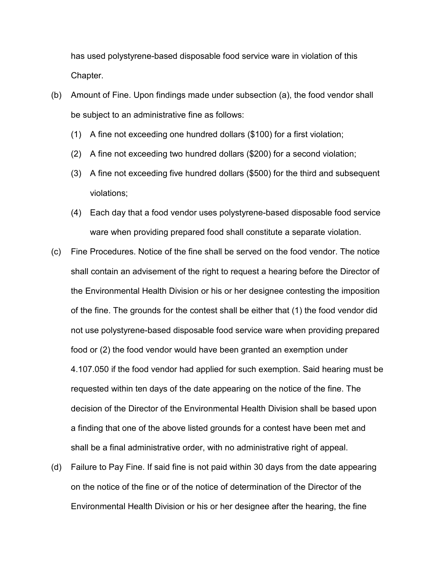has used polystyrene-based disposable food service ware in violation of this Chapter.

- (b) Amount of Fine. Upon findings made under subsection (a), the food vendor shall be subject to an administrative fine as follows:
	- (1) A fine not exceeding one hundred dollars (\$100) for a first violation;
	- (2) A fine not exceeding two hundred dollars (\$200) for a second violation;
	- (3) A fine not exceeding five hundred dollars (\$500) for the third and subsequent violations;
	- (4) Each day that a food vendor uses polystyrene-based disposable food service ware when providing prepared food shall constitute a separate violation.
- (c) Fine Procedures. Notice of the fine shall be served on the food vendor. The notice shall contain an advisement of the right to request a hearing before the Director of the Environmental Health Division or his or her designee contesting the imposition of the fine. The grounds for the contest shall be either that (1) the food vendor did not use polystyrene-based disposable food service ware when providing prepared food or (2) the food vendor would have been granted an exemption under 4.107.050 if the food vendor had applied for such exemption. Said hearing must be requested within ten days of the date appearing on the notice of the fine. The decision of the Director of the Environmental Health Division shall be based upon a finding that one of the above listed grounds for a contest have been met and shall be a final administrative order, with no administrative right of appeal.
- (d) Failure to Pay Fine. If said fine is not paid within 30 days from the date appearing on the notice of the fine or of the notice of determination of the Director of the Environmental Health Division or his or her designee after the hearing, the fine